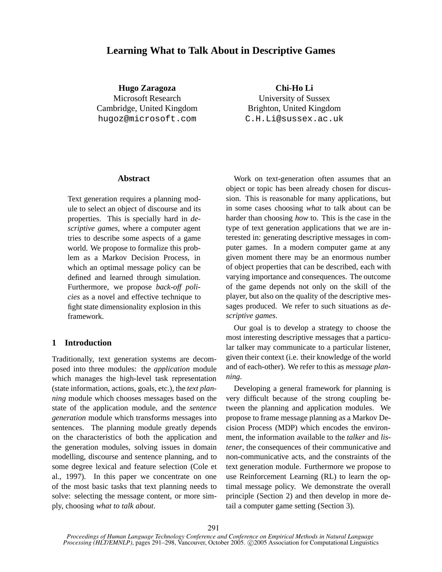# **Learning What to Talk About in Descriptive Games**

**Hugo Zaragoza** Microsoft Research Cambridge, United Kingdom hugoz@microsoft.com

**Chi-Ho Li** University of Sussex Brighton, United Kingdom C.H.Li@sussex.ac.uk

# **Abstract**

Text generation requires a planning module to select an object of discourse and its properties. This is specially hard in *descriptive games*, where a computer agent tries to describe some aspects of a game world. We propose to formalize this problem as a Markov Decision Process, in which an optimal message policy can be defined and learned through simulation. Furthermore, we propose *back-off policies* as a novel and effective technique to fight state dimensionality explosion in this framework.

# **1 Introduction**

Traditionally, text generation systems are decomposed into three modules: the *application* module which manages the high-level task representation (state information, actions, goals, etc.), the *text planning* module which chooses messages based on the state of the application module, and the *sentence generation* module which transforms messages into sentences. The planning module greatly depends on the characteristics of both the application and the generation modules, solving issues in domain modelling, discourse and sentence planning, and to some degree lexical and feature selection (Cole et al., 1997). In this paper we concentrate on one of the most basic tasks that text planning needs to solve: selecting the message content, or more simply, choosing *what to talk about*.

Work on text-generation often assumes that an object or topic has been already chosen for discussion. This is reasonable for many applications, but in some cases choosing *what* to talk about can be harder than choosing *how* to. This is the case in the type of text generation applications that we are interested in: generating descriptive messages in computer games. In a modern computer game at any given moment there may be an enormous number of object properties that can be described, each with varying importance and consequences. The outcome of the game depends not only on the skill of the player, but also on the quality of the descriptive messages produced. We refer to such situations as *descriptive games*.

Our goal is to develop a strategy to choose the most interesting descriptive messages that a particular talker may communicate to a particular listener, given their context (i.e. their knowledge of the world and of each-other). We refer to this as *message planning*.

Developing a general framework for planning is very difficult because of the strong coupling between the planning and application modules. We propose to frame message planning as a Markov Decision Process (MDP) which encodes the environment, the information available to the *talker* and *listener*, the consequences of their communicative and non-communicative acts, and the constraints of the text generation module. Furthermore we propose to use Reinforcement Learning (RL) to learn the optimal message policy. We demonstrate the overall principle (Section 2) and then develop in more detail a computer game setting (Section 3).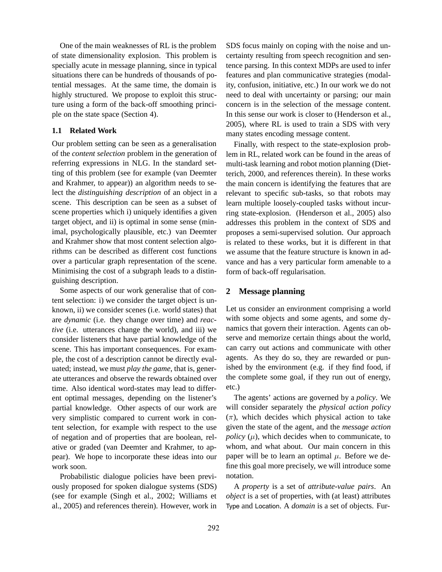One of the main weaknesses of RL is the problem of state dimensionality explosion. This problem is specially acute in message planning, since in typical situations there can be hundreds of thousands of potential messages. At the same time, the domain is highly structured. We propose to exploit this structure using a form of the back-off smoothing principle on the state space (Section 4).

# **1.1 Related Work**

Our problem setting can be seen as a generalisation of the *content selection* problem in the generation of referring expressions in NLG. In the standard setting of this problem (see for example (van Deemter and Krahmer, to appear)) an algorithm needs to select the *distinguishing description* of an object in a scene. This description can be seen as a subset of scene properties which i) uniquely identifies a given target object, and ii) is optimal in some sense (minimal, psychologically plausible, etc.) van Deemter and Krahmer show that most content selection algorithms can be described as different cost functions over a particular graph representation of the scene. Minimising the cost of a subgraph leads to a distinguishing description.

Some aspects of our work generalise that of content selection: i) we consider the target object is unknown, ii) we consider scenes (i.e. world states) that are *dynamic* (i.e. they change over time) and *reactive* (i.e. utterances change the world), and iii) we consider listeners that have partial knowledge of the scene. This has important consequences. For example, the cost of a description cannot be directly evaluated; instead, we must *play the game*, that is, generate utterances and observe the rewards obtained over time. Also identical word-states may lead to different optimal messages, depending on the listener's partial knowledge. Other aspects of our work are very simplistic compared to current work in content selection, for example with respect to the use of negation and of properties that are boolean, relative or graded (van Deemter and Krahmer, to appear). We hope to incorporate these ideas into our work soon.

Probabilistic dialogue policies have been previously proposed for spoken dialogue systems (SDS) (see for example (Singh et al., 2002; Williams et al., 2005) and references therein). However, work in SDS focus mainly on coping with the noise and uncertainty resulting from speech recognition and sentence parsing. In this context MDPs are used to infer features and plan communicative strategies (modality, confusion, initiative, etc.) In our work we do not need to deal with uncertainty or parsing; our main concern is in the selection of the message content. In this sense our work is closer to (Henderson et al., 2005), where RL is used to train a SDS with very many states encoding message content.

Finally, with respect to the state-explosion problem in RL, related work can be found in the areas of multi-task learning and robot motion planning (Dietterich, 2000, and references therein). In these works the main concern is identifying the features that are relevant to specific sub-tasks, so that robots may learn multiple loosely-coupled tasks without incurring state-explosion. (Henderson et al., 2005) also addresses this problem in the context of SDS and proposes a semi-supervised solution. Our approach is related to these works, but it is different in that we assume that the feature structure is known in advance and has a very particular form amenable to a form of back-off regularisation.

# **2 Message planning**

Let us consider an environment comprising a world with some objects and some agents, and some dynamics that govern their interaction. Agents can observe and memorize certain things about the world, can carry out actions and communicate with other agents. As they do so, they are rewarded or punished by the environment (e.g. if they find food, if the complete some goal, if they run out of energy, etc.)

The agents' actions are governed by a *policy*. We will consider separately the *physical action policy*  $(\pi)$ , which decides which physical action to take given the state of the agent, and the *message action policy*  $(\mu)$ , which decides when to communicate, to whom, and what about. Our main concern in this paper will be to learn an optimal  $\mu$ . Before we define this goal more precisely, we will introduce some notation.

A *property* is a set of *attribute-value pairs*. An *object* is a set of properties, with (at least) attributes Type and Location. A *domain* is a set of objects. Fur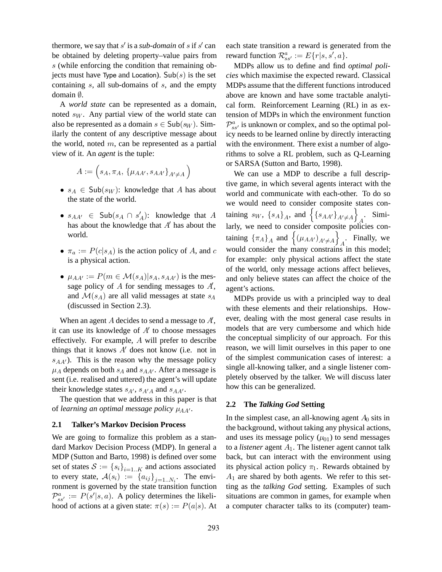thermore, we say that  $s'$  is a *sub-domain* of s if  $s'$  can be obtained by deleting property–value pairs from s (while enforcing the condition that remaining objects must have Type and Location).  $\mathsf{Sub}(s)$  is the set containing s, all sub-domains of s, and the empty domain ∅.

A *world state* can be represented as a domain, noted  $s_W$ . Any partial view of the world state can also be represented as a domain  $s \in Sub(s_W)$ . Similarly the content of any descriptive message about the world, noted  $m$ , can be represented as a partial view of it. An *agent* is the tuple:

$$
A:=\Big(s_A,\pi_A,\,\{\mu_{AA'},s_{AA'}\}_{A'\neq A}\Big)
$$

- $s_A \in Sub(s_W)$ : knowledge that A has about the state of the world.
- $s_{AA'} \in Sub(s_A \cap s'_A)$ : knowledge that A has about the knowledge that A' has about the has about the knowledge that  $A'$  has about the world.
- $\pi_a := P(c|s_A)$  is the action policy of A, and c is a physical action.
- $\mu_{AA'} := P(m \in \mathcal{M}(s_A) | s_A, s_{AA'} )$  is the message policy of  $A$  for sending messages to  $A'$ , and  $\mathcal{M}(s_A)$  are all valid messages at state  $s_A$ (discussed in Section 2.3).

When an agent  $A$  decides to send a message to  $A'$ , it can use its knowledge of  $A'$  to choose messages effectively. For example, A will prefer to describe things that it knows  $A'$  does not know (i.e. not in  $s_{AA'}$ ). This is the reason why the message policy  $\mu_A$  depends on both  $s_A$  and  $s_{AA'}$ . After a message is sent (i.e. realised and uttered) the agent's will update their knowledge states  $s_{A'}$ ,  $s_{A'A}$  and  $s_{AA'}$ .

The question that we address in this paper is that of *learning an optimal message policy*  $\mu_{AA'}$ .

# **2.1 Talker's Markov Decision Process**

We are going to formalize this problem as a standard Markov Decision Process (MDP). In general a MDP (Sutton and Barto, 1998) is defined over some set of states  $S := \{s_i\}_{i=1..K}$  and actions associated to every state,  $\mathcal{A}(s_i) := \{a_{ij}\}_{j=1..N_i}$ . The enviror-<br>rounnent is governed by the state transition function ronment is governed by the state transition function  $\mathcal{P}_{ss'}^{a} := P(s'|s,a)$ . A policy determines the likeli-<br>hood of actions at a given state:  $\pi(s) := P(a|s)$ . At hood of actions at a given state:  $\pi(s) := P(a|s)$ . At each state transition a reward is generated from the reward function  $\mathcal{R}_{ss'}^a := E\{r|s, s', a\}.$ <br>MDPs allow us to define and find.

MDPs allow us to define and find *optimal policies* which maximise the expected reward. Classical MDPs assume that the different functions introduced above are known and have some tractable analytical form. Reinforcement Learning (RL) in as extension of MDPs in which the environment function  $\mathcal{P}_{ss'}^{a}$  is unknown or complex, and so the optimal policy needs to be learned online by directly interacting with the environment. There exist a number of algorithms to solve a RL problem, such as Q-Learning or SARSA (Sutton and Barto, 1998).

We can use a MDP to describe a full descriptive game, in which several agents interact with the world and communicate with each-other. To do so we would need to consider composite states containing  $s_W$ ,  $\{s_A\}_A$ , and  $\{ \{s_{AA'}\}_{A'\neq A} \}$  $\sum_{A}$ . Similarly, we need to consider composite policies containing  $\{\pi_A\}_A$  and  $\{(\mu_{AA'})_{A'\neq A}\}$  $A_1$ . Finally, we would consider the many constrains in this model; for example: only physical actions affect the state of the world, only message actions affect believes, and only believe states can affect the choice of the agent's actions.

MDPs provide us with a principled way to deal with these elements and their relationships. However, dealing with the most general case results in models that are very cumbersome and which hide the conceptual simplicity of our approach. For this reason, we will limit ourselves in this paper to one of the simplest communication cases of interest: a single all-knowing talker, and a single listener completely observed by the talker. We will discuss later how this can be generalized.

### **2.2 The** *Talking God* **Setting**

In the simplest case, an all-knowing agent  $A_0$  sits in the background, without taking any physical actions, and uses its message policy  $(\mu_{01})$  to send messages to a *listener* agent  $A_1$ . The listener agent cannot talk back, but can interact with the environment using its physical action policy  $\pi_1$ . Rewards obtained by  $A_1$  are shared by both agents. We refer to this setting as the *talking God* setting. Examples of such situations are common in games, for example when a computer character talks to its (computer) team-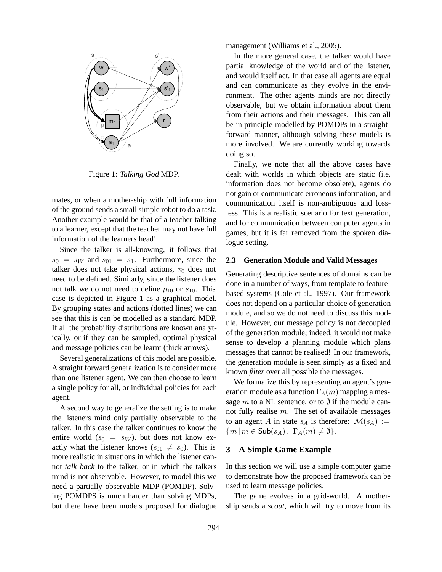

Figure 1: *Talking God* MDP.

mates, or when a mother-ship with full information of the ground sends a small simple robot to do a task. Another example would be that of a teacher talking to a learner, except that the teacher may not have full information of the learners head!

Since the talker is all-knowing, it follows that  $s_0 = s_W$  and  $s_{01} = s_1$ . Furthermore, since the talker does not take physical actions,  $\pi_0$  does not need to be defined. Similarly, since the listener does not talk we do not need to define  $\mu_{10}$  or  $s_{10}$ . This case is depicted in Figure 1 as a graphical model. By grouping states and actions (dotted lines) we can see that this is can be modelled as a standard MDP. If all the probability distributions are known analytically, or if they can be sampled, optimal physical and message policies can be learnt (thick arrows).

Several generalizations of this model are possible. A straight forward generalization is to consider more than one listener agent. We can then choose to learn a single policy for all, or individual policies for each agent.

A second way to generalize the setting is to make the listeners mind only partially observable to the talker. In this case the talker continues to know the entire world  $(s_0 = s_W)$ , but does not know exactly what the listener knows  $(s_{01} \neq s_0)$ . This is more realistic in situations in which the listener cannot *talk back* to the talker, or in which the talkers mind is not observable. However, to model this we need a partially observable MDP (POMDP). Solving POMDPS is much harder than solving MDPs, but there have been models proposed for dialogue management (Williams et al., 2005).

In the more general case, the talker would have partial knowledge of the world and of the listener, and would itself act. In that case all agents are equal and can communicate as they evolve in the environment. The other agents minds are not directly observable, but we obtain information about them from their actions and their messages. This can all be in principle modelled by POMDPs in a straightforward manner, although solving these models is more involved. We are currently working towards doing so.

Finally, we note that all the above cases have dealt with worlds in which objects are static (i.e. information does not become obsolete), agents do not gain or communicate erroneous information, and communication itself is non-ambiguous and lossless. This is a realistic scenario for text generation, and for communication between computer agents in games, but it is far removed from the spoken dialogue setting.

#### **2.3 Generation Module and Valid Messages**

Generating descriptive sentences of domains can be done in a number of ways, from template to featurebased systems (Cole et al., 1997). Our framework does not depend on a particular choice of generation module, and so we do not need to discuss this module. However, our message policy is not decoupled of the generation module; indeed, it would not make sense to develop a planning module which plans messages that cannot be realised! In our framework, the generation module is seen simply as a fixed and known *filter* over all possible the messages.

We formalize this by representing an agent's generation module as a function  $\Gamma_A(m)$  mapping a message m to a NL sentence, or to  $\emptyset$  if the module cannot fully realise  $m$ . The set of available messages to an agent A in state  $s_A$  is therefore:  $\mathcal{M}(s_A) :=$  ${m \mid m \in Sub(s_A), \Gamma_A(m) \neq \emptyset}.$ 

## **3 A Simple Game Example**

In this section we will use a simple computer game to demonstrate how the proposed framework can be used to learn message policies.

The game evolves in a grid-world. A mothership sends a *scout*, which will try to move from its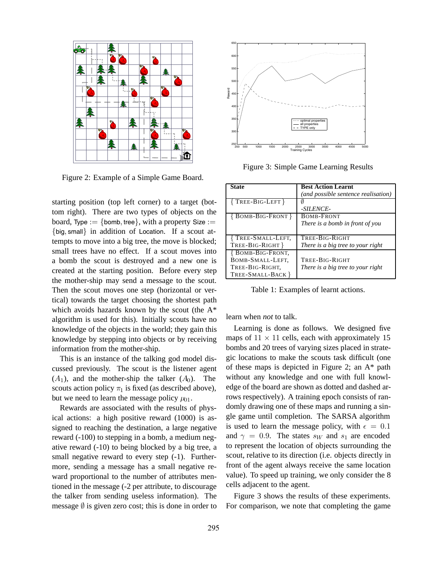

Figure 2: Example of a Simple Game Board.

starting position (top left corner) to a target (bottom right). There are two types of objects on the board, Type := {bomb, tree}, with a property Size := {big, small} in addition of Location. If a scout attempts to move into a big tree, the move is blocked; small trees have no effect. If a scout moves into a bomb the scout is destroyed and a new one is created at the starting position. Before every step the mother-ship may send a message to the scout. Then the scout moves one step (horizontal or vertical) towards the target choosing the shortest path which avoids hazards known by the scout (the A\* algorithm is used for this). Initially scouts have no knowledge of the objects in the world; they gain this knowledge by stepping into objects or by receiving information from the mother-ship.

This is an instance of the talking god model discussed previously. The scout is the listener agent  $(A_1)$ , and the mother-ship the talker  $(A_0)$ . The scouts action policy  $\pi_1$  is fixed (as described above), but we need to learn the message policy  $\mu_{01}$ .

Rewards are associated with the results of physical actions: a high positive reward (1000) is assigned to reaching the destination, a large negative reward (-100) to stepping in a bomb, a medium negative reward (-10) to being blocked by a big tree, a small negative reward to every step (-1). Furthermore, sending a message has a small negative reward proportional to the number of attributes mentioned in the message (-2 per attribute, to discourage the talker from sending useless information). The message  $\emptyset$  is given zero cost; this is done in order to



Figure 3: Simple Game Learning Results

| <b>State</b>            | <b>Best Action Learnt</b>           |
|-------------------------|-------------------------------------|
|                         | (and possible sentence realisation) |
| $\{$ Tree-Big-Left $\}$ |                                     |
|                         | -SILENCE-                           |
| {BOMB-BIG-FRONT}        | <b>BOMB-FRONT</b>                   |
|                         | There is a bomb in front of you     |
|                         |                                     |
| TREE-SMALL-LEFT,        | TREE-BIG-RIGHT                      |
| TREE-BIG-RIGHT }        | There is a big tree to your right   |
| <b>BOMB-BIG-FRONT,</b>  |                                     |
| BOMB-SMALL-LEFT.        | TREE-BIG-RIGHT                      |
| TREE-BIG-RIGHT,         | There is a big tree to your right   |
| TREE-SMALL-BACK }       |                                     |

Table 1: Examples of learnt actions.

learn when *not* to talk.

Learning is done as follows. We designed five maps of  $11 \times 11$  cells, each with approximately 15 bombs and 20 trees of varying sizes placed in strategic locations to make the scouts task difficult (one of these maps is depicted in Figure 2; an A\* path without any knowledge and one with full knowledge of the board are shown as dotted and dashed arrows respectively). A training epoch consists of randomly drawing one of these maps and running a single game until completion. The SARSA algorithm is used to learn the message policy, with  $\epsilon = 0.1$ <br>and  $\alpha = 0.9$ . The states gy and  $\epsilon_1$  are encoded and  $\gamma = 0.9$ . The states s<sub>W</sub> and s<sub>1</sub> are encoded to represent the location of objects surrounding the scout, relative to its direction (i.e. objects directly in front of the agent always receive the same location value). To speed up training, we only consider the 8 cells adjacent to the agent.

Figure 3 shows the results of these experiments. For comparison, we note that completing the game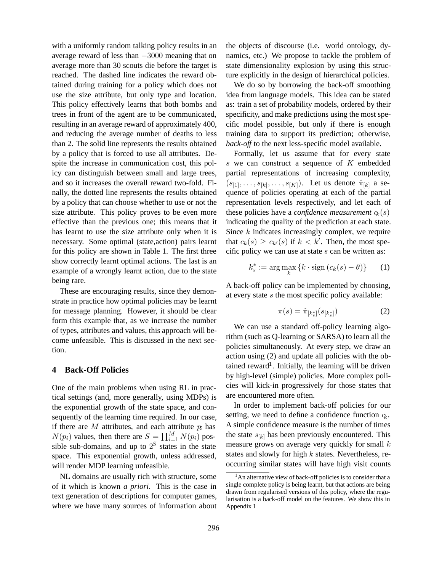with a uniformly random talking policy results in an average reward of less than <sup>−</sup>3000 meaning that on average more than 30 scouts die before the target is reached. The dashed line indicates the reward obtained during training for a policy which does not use the size attribute, but only type and location. This policy effectively learns that both bombs and trees in front of the agent are to be communicated, resulting in an average reward of approximately 400, and reducing the average number of deaths to less than 2. The solid line represents the results obtained by a policy that is forced to use all attributes. Despite the increase in communication cost, this policy can distinguish between small and large trees, and so it increases the overall reward two-fold. Finally, the dotted line represents the results obtained by a policy that can choose whether to use or not the size attribute. This policy proves to be even more effective than the previous one; this means that it has learnt to use the size attribute only when it is necessary. Some optimal (state,action) pairs learnt for this policy are shown in Table 1. The first three show correctly learnt optimal actions. The last is an example of a wrongly learnt action, due to the state being rare.

These are encouraging results, since they demonstrate in practice how optimal policies may be learnt for message planning. However, it should be clear form this example that, as we increase the number of types, attributes and values, this approach will become unfeasible. This is discussed in the next section.

# **4 Back-Off Policies**

One of the main problems when using RL in practical settings (and, more generally, using MDPs) is the exponential growth of the state space, and consequently of the learning time required. In our case, if there are  $M$  attributes, and each attribute  $p_i$  has  $N(p_i)$  values, then there are  $S = \prod_{i=1}^{M} N(p_i)$  pos-<br>sible sub-domains, and up to  $2^S$  states in the state sible sub-domains, and up to  $2^S$  states in the state<br>space. This exponential growth, unless addressed space. This exponential growth, unless addressed, will render MDP learning unfeasible.

NL domains are usually rich with structure, some of it which is known *a priori*. This is the case in text generation of descriptions for computer games, where we have many sources of information about the objects of discourse (i.e. world ontology, dynamics, etc.) We propose to tackle the problem of state dimensionality explosion by using this structure explicitly in the design of hierarchical policies.

We do so by borrowing the back-off smoothing idea from language models. This idea can be stated as: train a set of probability models, ordered by their specificity, and make predictions using the most specific model possible, but only if there is enough training data to support its prediction; otherwise, *back-off* to the next less-specific model available.

Formally, let us assume that for every state  $s$  we can construct a sequence of  $K$  embedded partial representations of increasing complexity,  $(s_{[1]},\ldots,s_{[k]},\ldots,s_{[K]})$ . Let us denote  $\hat{\pi}_{[k]}$  a sequence of policies operating at each of the partial representation levels respectively, and let each of these policies have a *confidence measurement*  $q_k(s)$ indicating the quality of the prediction at each state. Since  $k$  indicates increasingly complex, we require that  $c_k(s) \geq c_{k'}(s)$  if  $k < k'$ . Then, the most specific policy we can use at state s can be written as: cific policy we can use at state  $s$  can be written as:

$$
k_s^* := \arg\max_k \{k \cdot \operatorname{sign}\left(c_k(s) - \theta\right)\} \tag{1}
$$

A back-off policy can be implemented by choosing, at every state s the most specific policy available:

$$
\pi(s) = \hat{\pi}_{[k_s^*]}(s_{[k_s^*]})
$$
\n(2)

We can use a standard off-policy learning algorithm (such as Q-learning or SARSA) to learn all the policies simultaneously. At every step, we draw an action using (2) and update all policies with the obtained reward<sup>1</sup>. Initially, the learning will be driven by high-level (simple) policies. More complex policies will kick-in progressively for those states that are encountered more often.

In order to implement back-off policies for our setting, we need to define a confidence function  $q_k$ . A simple confidence measure is the number of times the state  $s_{[k]}$  has been previously encountered. This measure grows on average very quickly for small  $k$ states and slowly for high k states. Nevertheless, reoccurring similar states will have high visit counts

<sup>&</sup>lt;sup>1</sup>An alternative view of back-off policies is to consider that a single complete policy is being learnt, but that actions are being drawn from regularised versions of this policy, where the regularisation is a back-off model on the features. We show this in Appendix I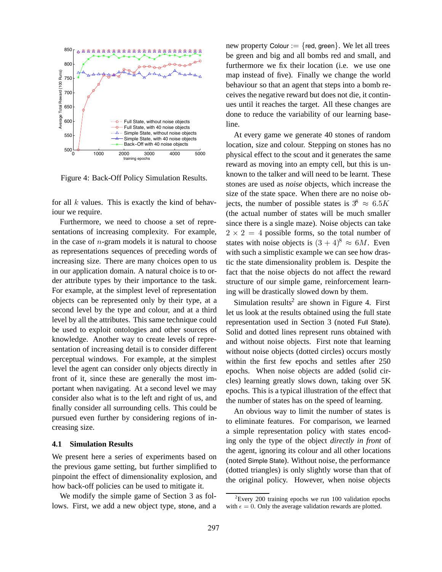

Figure 4: Back-Off Policy Simulation Results.

for all  $k$  values. This is exactly the kind of behaviour we require.

Furthermore, we need to choose a set of representations of increasing complexity. For example, in the case of  $n$ -gram models it is natural to choose as representations sequences of preceding words of increasing size. There are many choices open to us in our application domain. A natural choice is to order attribute types by their importance to the task. For example, at the simplest level of representation objects can be represented only by their type, at a second level by the type and colour, and at a third level by all the attributes. This same technique could be used to exploit ontologies and other sources of knowledge. Another way to create levels of representation of increasing detail is to consider different perceptual windows. For example, at the simplest level the agent can consider only objects directly in front of it, since these are generally the most important when navigating. At a second level we may consider also what is to the left and right of us, and finally consider all surrounding cells. This could be pursued even further by considering regions of increasing size.

#### **4.1 Simulation Results**

We present here a series of experiments based on the previous game setting, but further simplified to pinpoint the effect of dimensionality explosion, and how back-off policies can be used to mitigate it.

We modify the simple game of Section 3 as follows. First, we add a new object type, stone, and a new property Colour :=  $\{red, green\}$ . We let all trees be green and big and all bombs red and small, and furthermore we fix their location (i.e. we use one map instead of five). Finally we change the world behaviour so that an agent that steps into a bomb receives the negative reward but does not die, it continues until it reaches the target. All these changes are done to reduce the variability of our learning baseline.

At every game we generate 40 stones of random location, size and colour. Stepping on stones has no physical effect to the scout and it generates the same reward as moving into an empty cell, but this is unknown to the talker and will need to be learnt. These stones are used as *noise* objects, which increase the size of the state space. When there are no noise objects, the number of possible states is  $3^8 \approx 6.5K$ (the actual number of states will be much smaller since there is a single maze). Noise objects can take  $2 \times 2 = 4$  possible forms, so the total number of states with noise objects is  $(3 + 4)^8 \approx 6M$ . Even with such a simplistic example we can see how drastic the state dimensionality problem is. Despite the fact that the noise objects do not affect the reward structure of our simple game, reinforcement learning will be drastically slowed down by them.

Simulation results<sup>2</sup> are shown in Figure 4. First let us look at the results obtained using the full state representation used in Section 3 (noted Full State). Solid and dotted lines represent runs obtained with and without noise objects. First note that learning without noise objects (dotted circles) occurs mostly within the first few epochs and settles after 250 epochs. When noise objects are added (solid circles) learning greatly slows down, taking over 5K epochs. This is a typical illustration of the effect that the number of states has on the speed of learning.

An obvious way to limit the number of states is to eliminate features. For comparison, we learned a simple representation policy with states encoding only the type of the object *directly in front* of the agent, ignoring its colour and all other locations (noted Simple State). Without noise, the performance (dotted triangles) is only slightly worse than that of the original policy. However, when noise objects

 ${}^{2}$ Every 200 training epochs we run 100 validation epochs with  $\epsilon = 0$ . Only the average validation rewards are plotted.